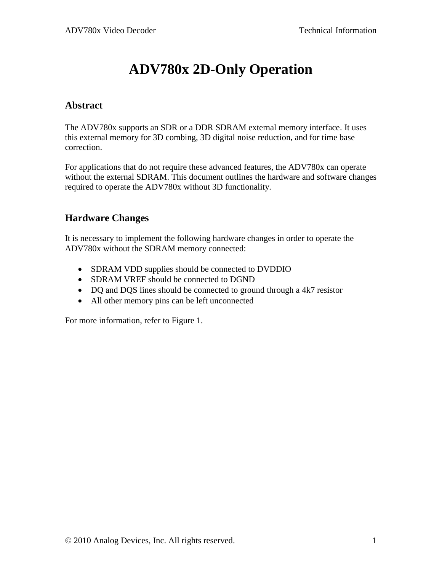# **ADV780x 2D-Only Operation**

#### **Abstract**

The ADV780x supports an SDR or a DDR SDRAM external memory interface. It uses this external memory for 3D combing, 3D digital noise reduction, and for time base correction.

For applications that do not require these advanced features, the ADV780x can operate without the external SDRAM. This document outlines the hardware and software changes required to operate the ADV780x without 3D functionality.

### **Hardware Changes**

It is necessary to implement the following hardware changes in order to operate the ADV780x without the SDRAM memory connected:

- SDRAM VDD supplies should be connected to DVDDIO
- SDRAM VREF should be connected to DGND
- DQ and DQS lines should be connected to ground through a 4k7 resistor
- All other memory pins can be left unconnected

For more information, refer to [Figure 1.](#page-1-0)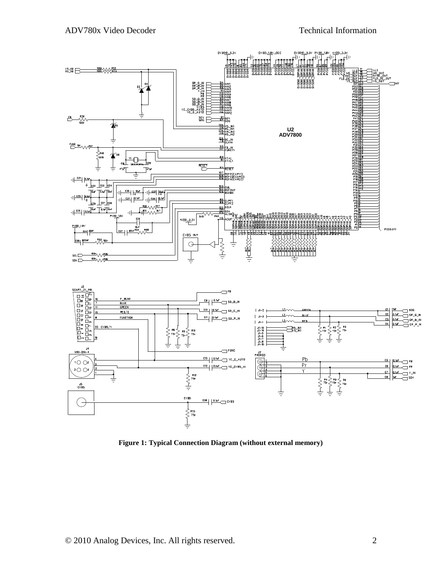

<span id="page-1-0"></span>**Figure 1: Typical Connection Diagram (without external memory)**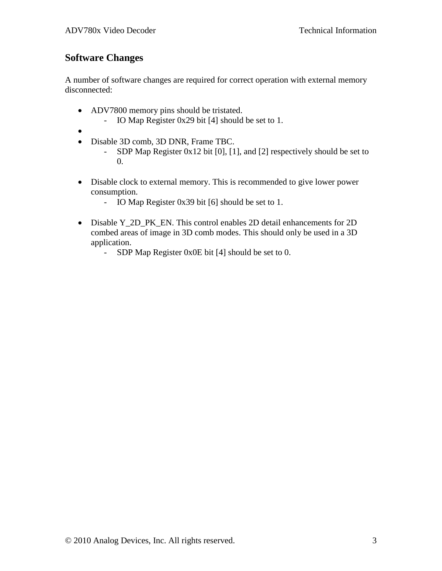## **Software Changes**

A number of software changes are required for correct operation with external memory disconnected:

- ADV7800 memory pins should be tristated.
	- IO Map Register 0x29 bit [4] should be set to 1.
- $\bullet$
- Disable 3D comb, 3D DNR, Frame TBC.
	- SDP Map Register 0x12 bit [0], [1], and [2] respectively should be set to 0.
- Disable clock to external memory. This is recommended to give lower power consumption.
	- IO Map Register 0x39 bit [6] should be set to 1.
- Disable Y\_2D\_PK\_EN. This control enables 2D detail enhancements for 2D combed areas of image in 3D comb modes. This should only be used in a 3D application.
	- SDP Map Register 0x0E bit [4] should be set to 0.